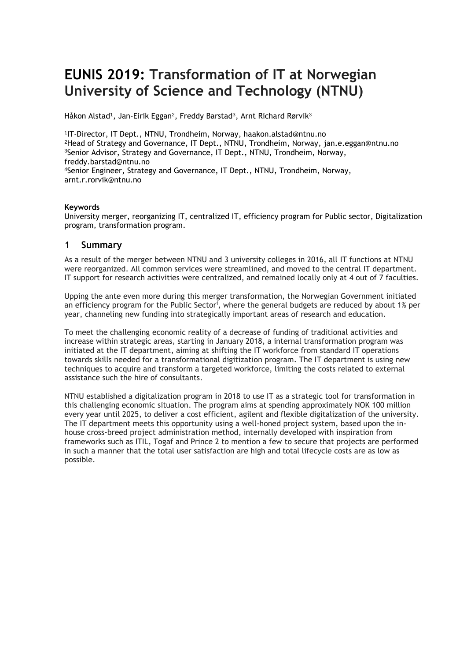# **EUNIS 2019: Transformation of IT at Norwegian University of Science and Technology (NTNU)**

Håkon Alstad<sup>1</sup>, Jan-Eirik Eggan<sup>2</sup>, Freddy Barstad<sup>3</sup>, Arnt Richard Rørvik<sup>3</sup>

 IT-Director, IT Dept., NTNU, Trondheim, Norway, haakon.alstad@ntnu.no Head of Strategy and Governance, IT Dept., NTNU, Trondheim, Norway, jan.e.eggan@ntnu.no Senior Advisor, Strategy and Governance, IT Dept., NTNU, Trondheim, Norway, freddy.barstad@ntnu.no Senior Engineer, Strategy and Governance, IT Dept., NTNU, Trondheim, Norway, arnt.r.rorvik@ntnu.no

#### **Keywords**

University merger, reorganizing IT, centralized IT, efficiency program for Public sector, Digitalization program, transformation program.

#### **1 Summary**

As a result of the merger between NTNU and 3 university colleges in 2016, all IT functions at NTNU were reorganized. All common services were streamlined, and moved to the central IT department. IT support for research activities were centralized, and remained locally only at 4 out of 7 faculties.

Upping the ante even more during this merger transformation, the Norwegian Government initiated an efficiency program for the Public Sector', where the general budgets are reduced by about 1% per year, channeling new funding into strategically important areas of research and education.

To meet the challenging economic reality of a decrease of funding of traditional activities and increase within strategic areas, starting in January 2018, a internal transformation program was initiated at the IT department, aiming at shifting the IT workforce from standard IT operations towards skills needed for a transformational digitization program. The IT department is using new techniques to acquire and transform a targeted workforce, limiting the costs related to external assistance such the hire of consultants.

NTNU established a digitalization program in 2018 to use IT as a strategic tool for transformation in this challenging economic situation. The program aims at spending approximately NOK 100 million every year until 2025, to deliver a cost efficient, agilent and flexible digitalization of the university. The IT department meets this opportunity using a well-honed project system, based upon the inhouse cross-breed project administration method, internally developed with inspiration from frameworks such as ITIL, Togaf and Prince 2 to mention a few to secure that projects are performed in such a manner that the total user satisfaction are high and total lifecycle costs are as low as possible.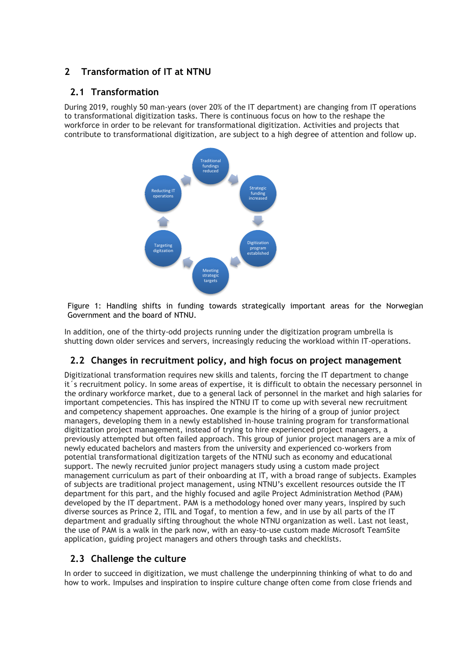# **2 Transformation of IT at NTNU**

#### **2.1 Transformation**

During 2019, roughly 50 man-years (over 20% of the IT department) are changing from IT operations to transformational digitization tasks. There is continuous focus on how to the reshape the workforce in order to be relevant for transformational digitization. Activities and projects that contribute to transformational digitization, are subject to a high degree of attention and follow up.



Figure 1: Handling shifts in funding towards strategically important areas for the Norwegian Government and the board of NTNU.

In addition, one of the thirty-odd projects running under the digitization program umbrella is shutting down older services and servers, increasingly reducing the workload within IT-operations. fasf

# **2.2 Changes in recruitment policy, and high focus on project management**

Digitizational transformation requires new skills and talents, forcing the IT department to change it´s recruitment policy. In some areas of expertise, it is difficult to obtain the necessary personnel in the ordinary workforce market, due to a general lack of personnel in the market and high salaries for important competencies. This has inspired the NTNU IT to come up with several new recruitment and competency shapement approaches. One example is the hiring of a group of junior project managers, developing them in a newly established in-house training program for transformational digitization project management, instead of trying to hire experienced project managers, a previously attempted but often failed approach. This group of junior project managers are a mix of newly educated bachelors and masters from the university and experienced co-workers from potential transformational digitization targets of the NTNU such as economy and educational support. The newly recruited junior project managers study using a custom made project management curriculum as part of their onboarding at IT, with a broad range of subjects. Examples of subjects are traditional project management, using NTNU's excellent resources outside the IT department for this part, and the highly focused and agile Project Administration Method (PAM) developed by the IT department. PAM is a methodology honed over many years, inspired by such diverse sources as Prince 2, ITIL and Togaf, to mention a few, and in use by all parts of the IT department and gradually sifting throughout the whole NTNU organization as well. Last not least, the use of PAM is a walk in the park now, with an easy-to-use custom made Microsoft TeamSite application, guiding project managers and others through tasks and checklists.

#### **2.3 Challenge the culture**

In order to succeed in digitization, we must challenge the underpinning thinking of what to do and how to work. Impulses and inspiration to inspire culture change often come from close friends and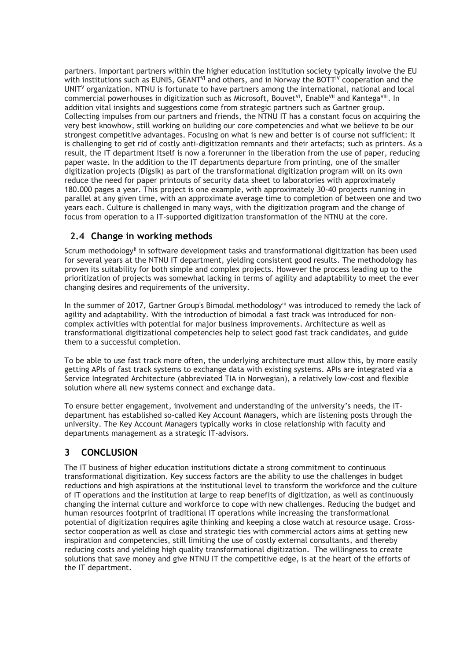partners. Important partners within the higher education institution society typically involve the EU with institutions such as EUNIS, GEANT<sup>VI</sup> and others, and in Norway the BOTT<sup>IV</sup> cooperation and the UNIT<sup>V</sup> organization. NTNU is fortunate to have partners among the international, national and local commercial powerhouses in digitization such as Microsoft, Bouvet<sup>vi</sup>, Enable<sup>vii</sup> and Kantega<sup>viii</sup>. In addition vital insights and suggestions come from strategic partners such as Gartner group. Collecting impulses from our partners and friends, the NTNU IT has a constant focus on acquiring the very best knowhow, still working on building our core competencies and what we believe to be our strongest competitive advantages. Focusing on what is new and better is of course not sufficient: It is challenging to get rid of costly anti-digitization remnants and their artefacts; such as printers. As a result, the IT department itself is now a forerunner in the liberation from the use of paper, reducing paper waste. In the addition to the IT departments departure from printing, one of the smaller digitization projects (Digsik) as part of the transformational digitization program will on its own reduce the need for paper printouts of security data sheet to laboratories with approximately 180.000 pages a year. This project is one example, with approximately 30-40 projects running in parallel at any given time, with an approximate average time to completion of between one and two years each. Culture is challenged in many ways, with the digitization program and the change of focus from operation to a IT-supported digitization transformation of the NTNU at the core.

### **2.4 Change in working methods**

Scrum methodologyii in software development tasks and transformational digitization has been used for several years at the NTNU IT department, yielding consistent good results. The methodology has proven its suitability for both simple and complex projects. However the process leading up to the prioritization of projects was somewhat lacking in terms of agility and adaptability to meet the ever changing desires and requirements of the university.

In the summer of 2017, Gartner Group's Bimodal methodology<sup>iii</sup> was introduced to remedy the lack of agility and adaptability. With the introduction of bimodal a fast track was introduced for noncomplex activities with potential for major business improvements. Architecture as well as transformational digitizational competencies help to select good fast track candidates, and guide them to a successful completion.

To be able to use fast track more often, the underlying architecture must allow this, by more easily getting APIs of fast track systems to exchange data with existing systems. APIs are integrated via a Service Integrated Architecture (abbreviated TIA in Norwegian), a relatively low-cost and flexible solution where all new systems connect and exchange data.

To ensure better engagement, involvement and understanding of the university's needs, the ITdepartment has established so-called Key Account Managers, which are listening posts through the university. The Key Account Managers typically works in close relationship with faculty and departments management as a strategic IT-advisors.

# **3 CONCLUSION**

The IT business of higher education institutions dictate a strong commitment to continuous transformational digitization. Key success factors are the ability to use the challenges in budget reductions and high aspirations at the institutional level to transform the workforce and the culture of IT operations and the institution at large to reap benefits of digitization, as well as continuously changing the internal culture and workforce to cope with new challenges. Reducing the budget and human resources footprint of traditional IT operations while increasing the transformational potential of digitization requires agile thinking and keeping a close watch at resource usage. Crosssector cooperation as well as close and strategic ties with commercial actors aims at getting new inspiration and competencies, still limiting the use of costly external consultants, and thereby reducing costs and yielding high quality transformational digitization. The willingness to create solutions that save money and give NTNU IT the competitive edge, is at the heart of the efforts of the IT department.